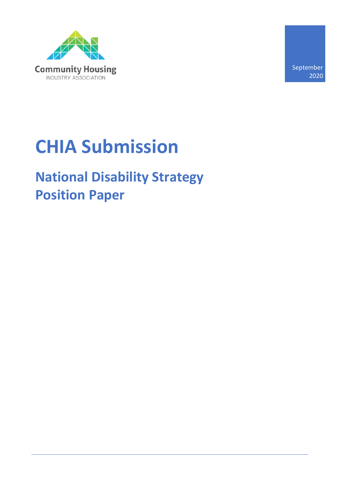

September 2020

# **CHIA Submission**

# **National Disability Strategy Position Paper**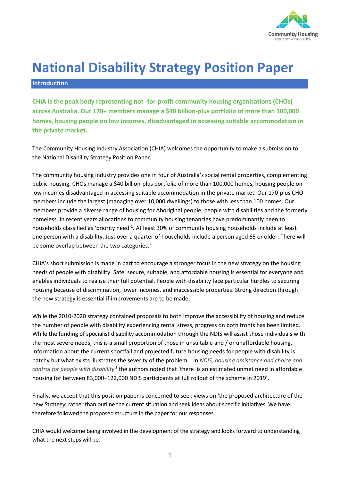

# **National Disability Strategy Position Paper**

#### **Introduction**

**CHIA is the peak body representing not -for-profit community housing organisations (CHOs) across Australia. Our 170+ members manage a \$40 billion-plus portfolio of more than 100,000 homes, housing people on low incomes, disadvantaged in accessing suitable accommodation in the private market.** 

The Community Housing Industry Association (CHIA) welcomes the opportunity to make a submission to the National Disability Strategy Position Paper.

The community housing industry provides one in four of Australia's social rental properties, complementing public housing. CHOs manage a \$40 billion-plus portfolio of more than 100,000 homes, housing people on low incomes disadvantaged in accessing suitable accommodation in the private market. Our 170-plus CHO members include the largest (managing over 10,000 dwellings) to those with less than 100 homes. Our members provide a diverse range of housing for Aboriginal people, people with disabilities and the formerly homeless. In recent years allocations to community housing tenancies have predominantly been to households classified as 'priority need'<sup>1</sup>. At least 30% of community housing households include at least one person with a disability. Just over a quarter of households include a person aged 65 or older. There will be some overlap between the two categories.<sup>2</sup>

CHIA's short submission is made in part to encourage a stronger focus in the new strategy on the housing needs of people with disability. Safe, secure, suitable, and affordable housing is essential for everyone and enables individuals to realise their full potential. People with disability face particular hurdles to securing housing because of discrimination, lower incomes, and inaccessible properties. Strong direction through the new strategy is essential if improvements are to be made.

While the 2010-2020 strategy contained proposals to both improve the accessibility of housing and reduce the number of people with disability experiencing rental stress, progress on both fronts has been limited. While the funding of specialist disability accommodation through the NDIS will assist those individuals with the most severe needs, this is a small proportion of those in unsuitable and / or unaffordable housing. Information about the current shortfall and projected future housing needs for people with disability is patchy but what exists illustrates the severity of the problem. In *NDIS, housing assistance and choice and*  control for people with disability<sup>3</sup> the authors noted that 'there is an estimated unmet need in affordable housing for between 83,000–122,000 NDIS participants at full rollout of the scheme in 2019'.

Finally, we accept that this position paper is concerned to seek views on 'the proposed architecture of the new Strategy' rather than outline the current situation and seek ideas about specific initiatives. We have therefore followed the proposed structure in the paper for our responses.

CHIA would welcome being involved in the development of the strategy and looks forward to understanding what the next steps will be.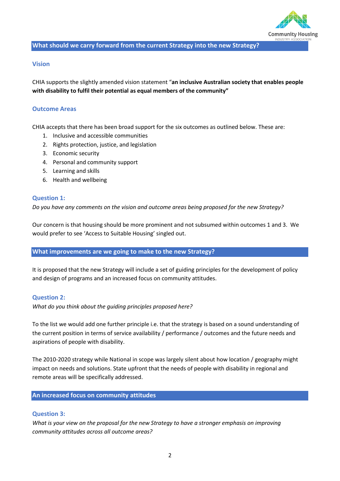

#### **What should we carry forward from the current Strategy into the new Strategy?**

#### **Vision**

CHIA supports the slightly amended vision statement "**an inclusive Australian society that enables people with disability to fulfil their potential as equal members of the community"** 

#### **Outcome Areas**

CHIA accepts that there has been broad support for the six outcomes as outlined below. These are:

- 1. Inclusive and accessible communities
- 2. Rights protection, justice, and legislation
- 3. Economic security
- 4. Personal and community support
- 5. Learning and skills
- 6. Health and wellbeing

#### **Question 1:**

*Do you have any comments on the vision and outcome areas being proposed for the new Strategy?*

Our concern is that housing should be more prominent and not subsumed within outcomes 1 and 3. We would prefer to see 'Access to Suitable Housing' singled out.

#### **What improvements are we going to make to the new Strategy?**

It is proposed that the new Strategy will include a set of guiding principles for the development of policy and design of programs and an increased focus on community attitudes.

#### **Question 2:**

*What do you think about the guiding principles proposed here?*

To the list we would add one further principle i.e. that the strategy is based on a sound understanding of the current position in terms of service availability / performance / outcomes and the future needs and aspirations of people with disability.

The 2010-2020 strategy while National in scope was largely silent about how location / geography might impact on needs and solutions. State upfront that the needs of people with disability in regional and remote areas will be specifically addressed.

#### **An increased focus on community attitudes**

#### **Question 3:**

*What is your view on the proposal for the new Strategy to have a stronger emphasis on improving community attitudes across all outcome areas?*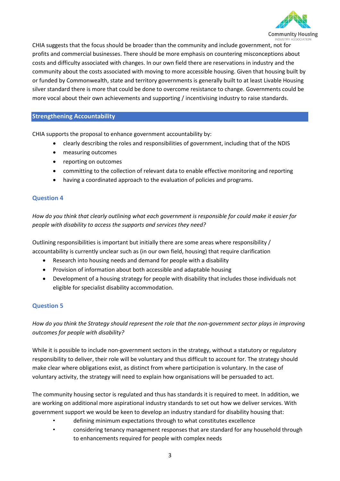

CHIA suggests that the focus should be broader than the community and include government, not for profits and commercial businesses. There should be more emphasis on countering misconceptions about costs and difficulty associated with changes. In our own field there are reservations in industry and the community about the costs associated with moving to more accessible housing. Given that housing built by or funded by Commonwealth, state and territory governments is generally built to at least Livable Housing silver standard there is more that could be done to overcome resistance to change. Governments could be more vocal about their own achievements and supporting / incentivising industry to raise standards.

# **Strengthening Accountability**

CHIA supports the proposal to enhance government accountability by:

- clearly describing the roles and responsibilities of government, including that of the NDIS
- measuring outcomes
- reporting on outcomes
- committing to the collection of relevant data to enable effective monitoring and reporting
- having a coordinated approach to the evaluation of policies and programs.

## **Question 4**

*How do you think that clearly outlining what each government is responsible for could make it easier for people with disability to access the supports and services they need?*

Outlining responsibilities is important but initially there are some areas where responsibility / accountability is currently unclear such as (in our own field, housing) that require clarification

- Research into housing needs and demand for people with a disability
- Provision of information about both accessible and adaptable housing
- Development of a housing strategy for people with disability that includes those individuals not eligible for specialist disability accommodation.

# **Question 5**

*How do you think the Strategy should represent the role that the non-government sector plays in improving outcomes for people with disability?* 

While it is possible to include non-government sectors in the strategy, without a statutory or regulatory responsibility to deliver, their role will be voluntary and thus difficult to account for. The strategy should make clear where obligations exist, as distinct from where participation is voluntary. In the case of voluntary activity, the strategy will need to explain how organisations will be persuaded to act.

The community housing sector is regulated and thus has standards it is required to meet. In addition, we are working on additional more aspirational industry standards to set out how we deliver services. With government support we would be keen to develop an industry standard for disability housing that:

- defining minimum expectations through to what constitutes excellence
- considering tenancy management responses that are standard for any household through to enhancements required for people with complex needs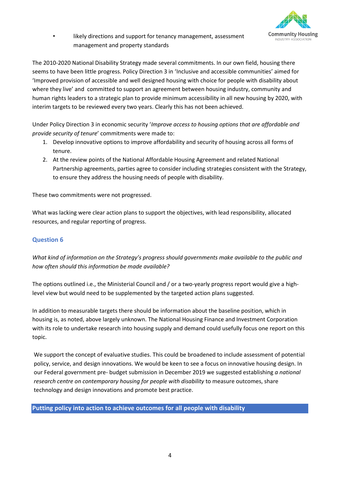

likely directions and support for tenancy management, assessment management and property standards

The 2010-2020 National Disability Strategy made several commitments. In our own field, housing there seems to have been little progress. Policy Direction 3 in 'Inclusive and accessible communities' aimed for 'Improved provision of accessible and well designed housing with choice for people with disability about where they live' and committed to support an agreement between housing industry, community and human rights leaders to a strategic plan to provide minimum accessibility in all new housing by 2020, with interim targets to be reviewed every two years. Clearly this has not been achieved.

Under Policy Direction 3 in economic security '*Improve access to housing options that are affordable and provide security of tenure*' commitments were made to:

- 1. Develop innovative options to improve affordability and security of housing across all forms of tenure.
- 2. At the review points of the National Affordable Housing Agreement and related National Partnership agreements, parties agree to consider including strategies consistent with the Strategy, to ensure they address the housing needs of people with disability.

These two commitments were not progressed.

What was lacking were clear action plans to support the objectives, with lead responsibility, allocated resources, and regular reporting of progress.

# **Question 6**

*What kind of information on the Strategy's progress should governments make available to the public and how often should this information be made available?* 

The options outlined i.e., the Ministerial Council and / or a two-yearly progress report would give a highlevel view but would need to be supplemented by the targeted action plans suggested.

In addition to measurable targets there should be information about the baseline position, which in housing is, as noted, above largely unknown. The National Housing Finance and Investment Corporation with its role to undertake research into housing supply and demand could usefully focus one report on this topic.

We support the concept of evaluative studies. This could be broadened to include assessment of potential policy, service, and design innovations. We would be keen to see a focus on innovative housing design. In our Federal government pre- budget submission in December 2019 we suggested establishing *a national research centre on contemporary housing for people with disability* to measure outcomes, share technology and design innovations and promote best practice.

## **Putting policy into action to achieve outcomes for all people with disability**